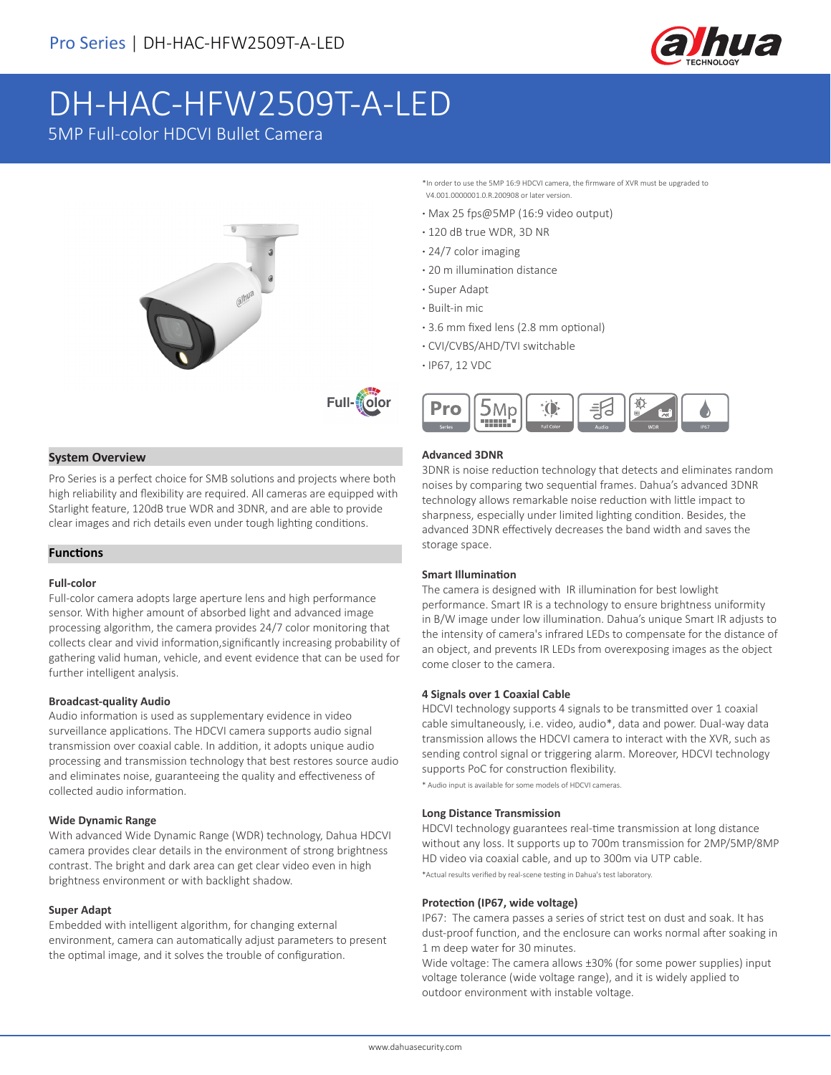

# DH-HAC-HFW2509T-A-LED

5MP Full-color HDCVI Bullet Camera





#### **System Overview**

Pro Series is a perfect choice for SMB solutions and projects where both high reliability and flexibility are required. All cameras are equipped with Starlight feature, 120dB true WDR and 3DNR, and are able to provide clear images and rich details even under tough lighting conditions.

#### **Functions**

#### **Full-color**

Full-color camera adopts large aperture lens and high performance sensor. With higher amount of absorbed light and advanced image processing algorithm, the camera provides 24/7 color monitoring that collects clear and vivid information,significantly increasing probability of gathering valid human, vehicle, and event evidence that can be used for further intelligent analysis.

#### **Broadcast-quality Audio**

Audio information is used as supplementary evidence in video surveillance applications. The HDCVI camera supports audio signal transmission over coaxial cable. In addition, it adopts unique audio processing and transmission technology that best restores source audio and eliminates noise, guaranteeing the quality and effectiveness of collected audio information.

#### **Wide Dynamic Range**

With advanced Wide Dynamic Range (WDR) technology, Dahua HDCVI camera provides clear details in the environment of strong brightness contrast. The bright and dark area can get clear video even in high brightness environment or with backlight shadow.

#### **Super Adapt**

Embedded with intelligent algorithm, for changing external environment, camera can automatically adjust parameters to present the optimal image, and it solves the trouble of configuration.

\*In order to use the 5MP 16:9 HDCVI camera, the firmware of XVR must be upgraded to V4.001.0000001.0.R.200908 or later version.

- **·** Max 25 fps@5MP (16:9 video output)
- **·** 120 dB true WDR, 3D NR
- **·** 24/7 color imaging
- **·** 20 m illumination distance
- **·** Super Adapt
- **·** Built-in mic
- **·** 3.6 mm fixed lens (2.8 mm optional)
- **·** CVI/CVBS/AHD/TVI switchable
- **·** IP67, 12 VDC



#### **Advanced 3DNR**

3DNR is noise reduction technology that detects and eliminates random noises by comparing two sequential frames. Dahua's advanced 3DNR technology allows remarkable noise reduction with little impact to sharpness, especially under limited lighting condition. Besides, the advanced 3DNR effectively decreases the band width and saves the storage space.

#### **Smart Illumination**

The camera is designed with IR illumination for best lowlight performance. Smart IR is a technology to ensure brightness uniformity in B/W image under low illumination. Dahua's unique Smart IR adjusts to the intensity of camera's infrared LEDs to compensate for the distance of an object, and prevents IR LEDs from overexposing images as the object come closer to the camera.

#### **4 Signals over 1 Coaxial Cable**

HDCVI technology supports 4 signals to be transmitted over 1 coaxial cable simultaneously, i.e. video, audio\*, data and power. Dual-way data transmission allows the HDCVI camera to interact with the XVR, such as sending control signal or triggering alarm. Moreover, HDCVI technology supports PoC for construction flexibility.

\* Audio input is available for some models of HDCVI cameras.

#### **Long Distance Transmission**

HDCVI technology guarantees real-time transmission at long distance without any loss. It supports up to 700m transmission for 2MP/5MP/8MP HD video via coaxial cable, and up to 300m via UTP cable.

\*Actual results verified by real-scene testing in Dahua's test laboratory.

#### **Protection (IP67, wide voltage)**

IP67: The camera passes a series of strict test on dust and soak. It has dust-proof function, and the enclosure can works normal after soaking in 1 m deep water for 30 minutes.

Wide voltage: The camera allows ±30% (for some power supplies) input voltage tolerance (wide voltage range), and it is widely applied to outdoor environment with instable voltage.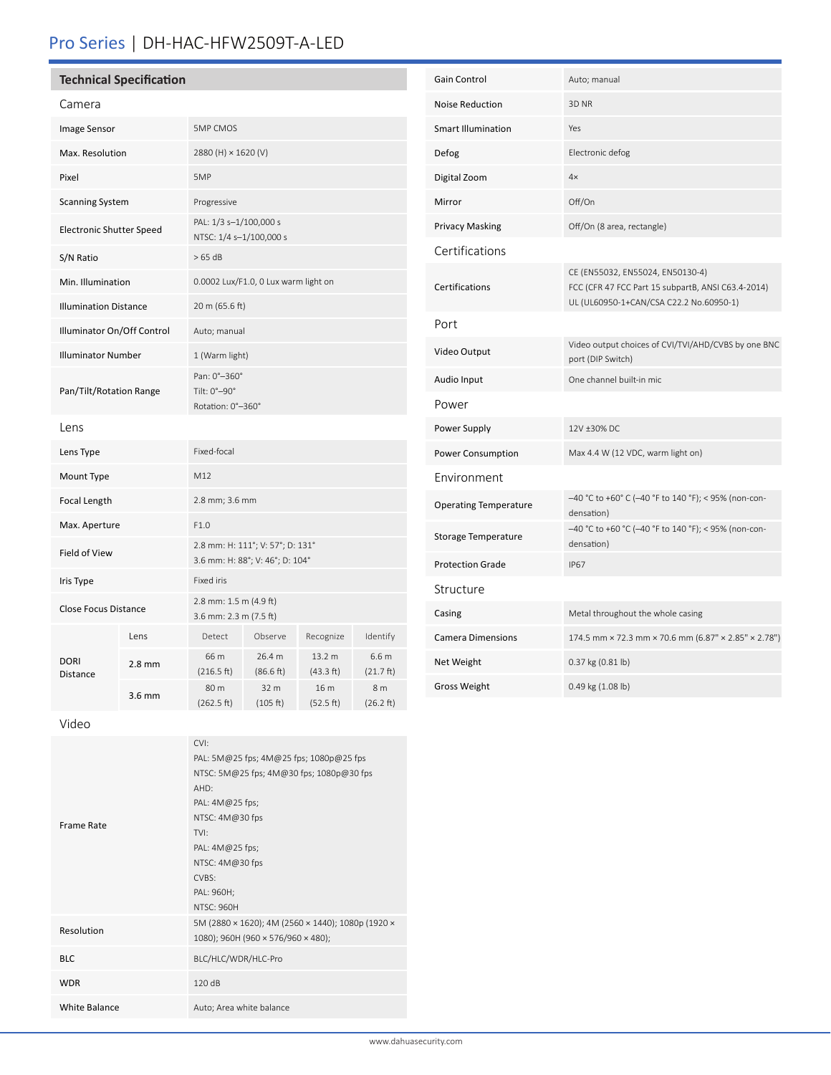## Pro Series | DH-HAC-HFW2509T-A-LED

| <b>Technical Specification</b> |
|--------------------------------|
|--------------------------------|

| Camera                          |                  |                                                                     |                     |                     |                               |
|---------------------------------|------------------|---------------------------------------------------------------------|---------------------|---------------------|-------------------------------|
| Image Sensor                    |                  | <b>5MP CMOS</b>                                                     |                     |                     |                               |
| Max. Resolution                 |                  | 2880 (H) × 1620 (V)                                                 |                     |                     |                               |
| Pixel                           |                  | 5MP                                                                 |                     |                     |                               |
| <b>Scanning System</b>          |                  | Progressive                                                         |                     |                     |                               |
| <b>Electronic Shutter Speed</b> |                  | PAL: 1/3 s-1/100,000 s<br>NTSC: 1/4 s-1/100,000 s                   |                     |                     |                               |
| S/N Ratio                       |                  | >65 dB                                                              |                     |                     |                               |
| Min. Illumination               |                  | 0.0002 Lux/F1.0, 0 Lux warm light on                                |                     |                     |                               |
| <b>Illumination Distance</b>    |                  | 20 m (65.6 ft)                                                      |                     |                     |                               |
| Illuminator On/Off Control      |                  | Auto; manual                                                        |                     |                     |                               |
| <b>Illuminator Number</b>       |                  | 1 (Warm light)                                                      |                     |                     |                               |
| Pan/Tilt/Rotation Range         |                  | Pan: 0°-360°<br>Tilt: 0°-90°<br>Rotation: 0°-360°                   |                     |                     |                               |
| Lens                            |                  |                                                                     |                     |                     |                               |
| Lens Type                       |                  | Fixed-focal                                                         |                     |                     |                               |
| Mount Type                      |                  | M12                                                                 |                     |                     |                               |
| Focal Length                    |                  | 2.8 mm; 3.6 mm                                                      |                     |                     |                               |
| Max. Aperture                   |                  | F1.0                                                                |                     |                     |                               |
| Field of View                   |                  | 2.8 mm: H: 111°; V: 57°; D: 131°<br>3.6 mm: H: 88°; V: 46°; D: 104° |                     |                     |                               |
| Iris Type                       |                  | Fixed iris                                                          |                     |                     |                               |
| <b>Close Focus Distance</b>     |                  | 2.8 mm: 1.5 m (4.9 ft)<br>3.6 mm: 2.3 m (7.5 ft)                    |                     |                     |                               |
| <b>DORI</b><br>Distance         | Lens             | Detect                                                              | Observe             | Recognize           | Identify                      |
|                                 | $2.8$ mm         | 66 m<br>(216.5 ft)                                                  | 26.4 m<br>(86.6 ft) | 13.2 m<br>(43.3 ft) | 6.6 <sub>m</sub><br>(21.7 ft) |
|                                 | $3.6 \text{ mm}$ | 80 m<br>(262.5 ft)                                                  | 32 m<br>(105 ft)    | 16 m<br>(52.5 ft)   | 8 m<br>(26.2 ft)              |

| Gain Control                 | Auto; manual                                                                                                                      |  |  |
|------------------------------|-----------------------------------------------------------------------------------------------------------------------------------|--|--|
| <b>Noise Reduction</b>       | 3D <sub>NR</sub>                                                                                                                  |  |  |
| <b>Smart Illumination</b>    | Yes                                                                                                                               |  |  |
| Defog                        | Electronic defog                                                                                                                  |  |  |
| Digital Zoom                 | $4\times$                                                                                                                         |  |  |
| Mirror                       | Off/On                                                                                                                            |  |  |
| Privacy Masking              | Off/On (8 area, rectangle)                                                                                                        |  |  |
| Certifications               |                                                                                                                                   |  |  |
| Certifications               | CE (EN55032, EN55024, EN50130-4)<br>FCC (CFR 47 FCC Part 15 subpartB, ANSI C63.4-2014)<br>UL (UL60950-1+CAN/CSA C22.2 No.60950-1) |  |  |
| Port                         |                                                                                                                                   |  |  |
| Video Output                 | Video output choices of CVI/TVI/AHD/CVBS by one BNC<br>port (DIP Switch)                                                          |  |  |
| Audio Input                  | One channel built-in mic                                                                                                          |  |  |
| Power                        |                                                                                                                                   |  |  |
| Power Supply                 | 12V ±30% DC                                                                                                                       |  |  |
| Power Consumption            | Max 4.4 W (12 VDC, warm light on)                                                                                                 |  |  |
| Environment                  |                                                                                                                                   |  |  |
| <b>Operating Temperature</b> | -40 °C to +60° C (-40 °F to 140 °F); < 95% (non-con-<br>densation)                                                                |  |  |
| <b>Storage Temperature</b>   | -40 °C to +60 °C (-40 °F to 140 °F); < 95% (non-con-<br>densation)                                                                |  |  |
| <b>Protection Grade</b>      | <b>IP67</b>                                                                                                                       |  |  |
| Structure                    |                                                                                                                                   |  |  |
| Casing                       | Metal throughout the whole casing                                                                                                 |  |  |
| <b>Camera Dimensions</b>     | 174.5 mm × 72.3 mm × 70.6 mm (6.87" × 2.85" × 2.78")                                                                              |  |  |
| Net Weight                   | 0.37 kg (0.81 lb)                                                                                                                 |  |  |
| Gross Weight                 | 0.49 kg (1.08 lb)                                                                                                                 |  |  |

Video

|                      | CVI:                                              |
|----------------------|---------------------------------------------------|
|                      | PAL: 5M@25 fps; 4M@25 fps; 1080p@25 fps           |
|                      | NTSC: 5M@25 fps; 4M@30 fps; 1080p@30 fps          |
|                      | AHD:                                              |
|                      | PAL: 4M@25 fps;                                   |
| Frame Rate           | NTSC: 4M@30 fps                                   |
|                      | TVI:                                              |
|                      | PAL: 4M@25 fps;                                   |
|                      | NTSC: 4M@30 fps                                   |
|                      | CVBS:                                             |
|                      | PAL: 960H;                                        |
|                      | <b>NTSC: 960H</b>                                 |
| Resolution           | 5M (2880 × 1620); 4M (2560 × 1440); 1080p (1920 × |
|                      | 1080); 960H (960 × 576/960 × 480);                |
| <b>BLC</b>           | BLC/HLC/WDR/HLC-Pro                               |
|                      |                                                   |
| <b>WDR</b>           | 120dB                                             |
| <b>White Balance</b> | Auto; Area white balance                          |
|                      |                                                   |